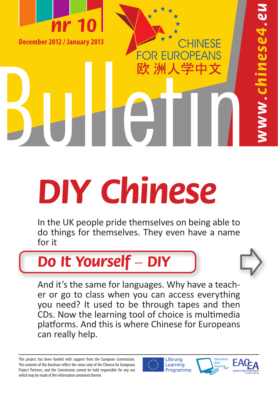

**PSSe4** 

# **DIY Chinese**

In the UK people pride themselves on being able to do things for themselves. They even have a name for it

## **Do It Yourself – DIY**

And it's the same for languages. Why have a teacher or go to class when you can access everything you need? It used to be through tapes and then CDs. Now the learning tool of choice is multimedia platforms. And this is where Chinese for Europeans can really help.

Lifelong Learning Programme

**FUR** 

欧 洲人学中文

PEANS



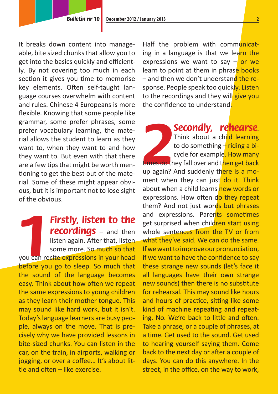It breaks down content into manageable, bite sized chunks that allow you to get into the basics quickly and efficiently. By not covering too much in each section it gives you time to memorise key elements. Often self-taught language courses overwhelm with content and rules. Chinese 4 Europeans is more flexible. Knowing that some people like grammar, some prefer phrases, some prefer vocabulary learning, the material allows the student to learn as they want to, when they want to and how they want to. But even with that there are a few tips that might be worth mentioning to get the best out of the material. Some of these might appear obvious, but it is important not to lose sight of the obvious.

**1**<br>you can re<br>before you **Firstly, listen to the recordings** – and then listen again. After that, listen some more. So much so that you can recite expressions in your head before you go to sleep. So much that the sound of the language becomes easy. Think about how often we repeat the same expressions to young children as they learn their mother tongue. This may sound like hard work, but it isn't. Today's language learners are busy people, always on the move. That is precisely why we have provided lessons in bite-sized chunks. You can listen in the car, on the train, in airports, walking or jogging, or over a coffee... It's about little and often – like exercise.

Half the problem with communicating in a language is that we learn the expressions we want to say  $-\frac{1}{x}$  or we learn to point at them in phrase books - and then we don't understand the response. People speak too quickly. Listen to the recordings and they will give you the confidence to understand.

**2 Secondly, rehearse**. Think about a child learning to do something  $-\frac{1}{x}$  riding a bicycle for example. How many times do they fall over and then get back up again? And suddenly there is a moment when they can just do it. Think about when a child learns new words or expressions. How often do they repeat them? And not just words but phrases and expressions. Parents sometimes get surprised when children start using whole sentences from the TV or from what they've said. We can do the same. If we want to improve our pronunciation, if we want to have the confidence to say these strange new sounds (let's face it all languages have their own strange new sounds) then there is no substitute for rehearsal. This may sound like hours and hours of practice, sitting like some kind of machine repeating and repeating. No. We're back to little and often. Take a phrase, or a couple of phrases, at a time. Get used to the sound. Get used to hearing yourself saying them. Come back to the next day or after a couple of days. You can do this anywhere. In the street, in the office, on the way to work,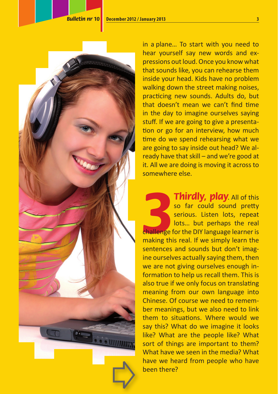

in a plane… To start with you need to hear yourself say new words and expressions out loud. Once you know what that sounds like, you can rehearse them inside your head. Kids have no problem walking down the street making noises, practicing new sounds. Adults do, but that doesn't mean we can't find time in the day to imagine ourselves saying stuff. If we are going to give a presentation or go for an interview, how much time do we spend rehearsing what we are going to say inside out head? We already have that skill – and we're good at it. All we are doing is moving it across to somewhere else.

**3**<br>challenge f<br>making this **Thirdly, play**. All of this so far could sound pretty serious. Listen lots, repeat lots… but perhaps the real challenge for the DIY language learner is making this real. If we simply learn the sentences and sounds but don't imagine ourselves actually saying them, then we are not giving ourselves enough information to help us recall them. This is also true if we only focus on translating meaning from our own language into Chinese. Of course we need to remember meanings, but we also need to link them to situations. Where would we say this? What do we imagine it looks like? What are the people like? What sort of things are important to them? What have we seen in the media? What have we heard from people who have been there?